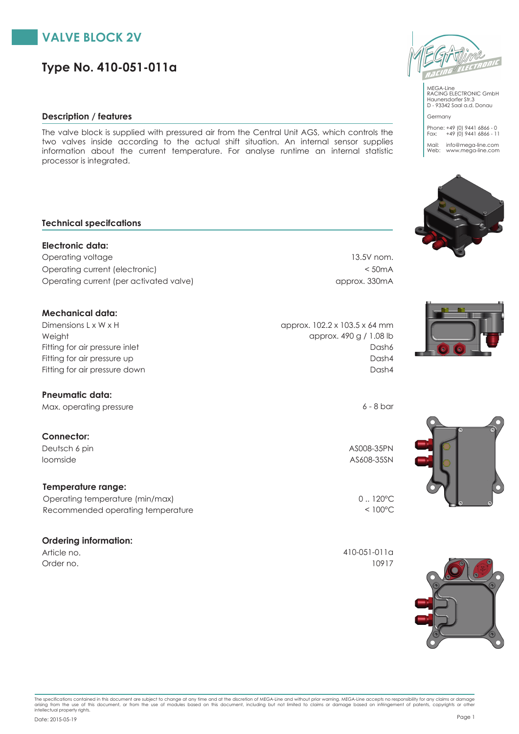

# **Type No. 410-051-011a**

### **Description / features**

The valve block is supplied with pressured air from the Central Unit AGS, which controls the two valves inside according to the actual shift situation. An internal sensor supplies information about the current temperature. For analyse runtime an internal statistic processor is integrated.

#### **Technical specifcations**

**Electronic data:** Operating voltage 13.5V nom. Operating current (electronic) < 50mA Operating current (per activated valve) approx. 330mA

#### **Mechanical data:**

Weight Dimensions L x W x H Fitting for air pressure up Fitting for air pressure inlet

#### **Pneumatic data:**

Max. operating pressure 6 - 8 bar

### **Connector:**

Deutsch 6 pin AS008-35PN loomside AS608-35SN

#### **Temperature range:**

Recommended operating temperature < 100°C Operating temperature (min/max) 0... 120°C

#### **Ordering information:**

approx. 490 g / 1.08 lb approx. 102.2 x 103.5 x 64 mm Dash4 Fitting for air pressure down Dash4 Dash6

Article no. 410-051-011a Order no. 10917







Germany

MEGA-Line RACING ELECTRONIC GmbH Haunersdorfer Str.3 D - 93342 Saal a.d. Donau

Phone: +49 (0) 9441 6866 - 0 Fax: +49 (0) 9441 6866 - 11 Mail: info@mega-line.com Web: www.mega-line.com







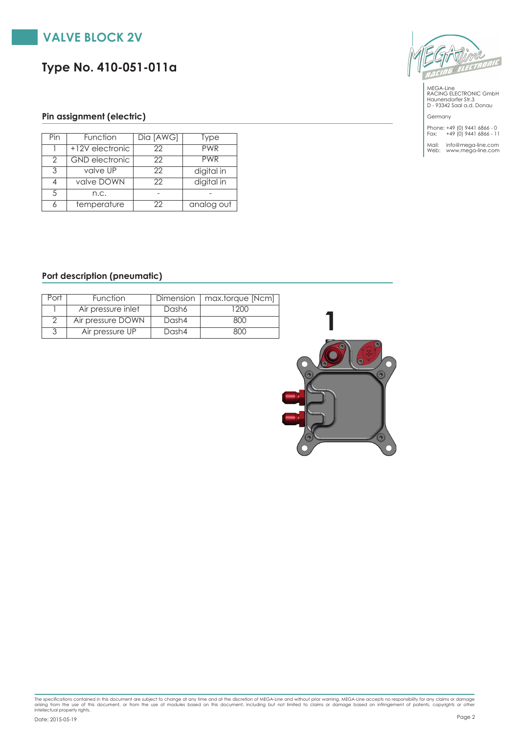

# **Type No. 410-051-011a**



MEGA-Line RACING ELECTRONIC GmbH Haunersdorfer Str.3 D - 93342 Saal a.d. Donau

Germany Phone: +49 (0) 9441 6866 - 0 Fax: +49 (0) 9441 6866 - 11

Mail: info@mega-line.com Web: www.mega-line.com

## **Pin assignment (electric)**

| Pin           | Function              | Dia [AWG] | <b>Type</b> |
|---------------|-----------------------|-----------|-------------|
|               | +12V electronic       | 22        | <b>PWR</b>  |
| $\mathcal{P}$ | <b>GND</b> electronic | 22        | <b>PWR</b>  |
| २             | valve UP              | 22        | digital in  |
|               | valve DOWN            | 22        | digital in  |
| 5             | n.c.                  |           |             |
|               | temperature           | 22        | analog out  |

### **Port description (pneumatic)**

| Port | <b>Function</b>    | Dimension | max.torque [Ncm] |
|------|--------------------|-----------|------------------|
|      | Air pressure inlet | Dash6     | 200              |
|      | Air pressure DOWN  | Dash4     | 800              |
|      | Air pressure UP    | Dash4     | 800              |



The specifications contained in this document are subject to change at any time and at the discretion of MEGA-Line and without prior warning. MEGA-Line accepts no responsibility for any claims or damage<br>arising from the us